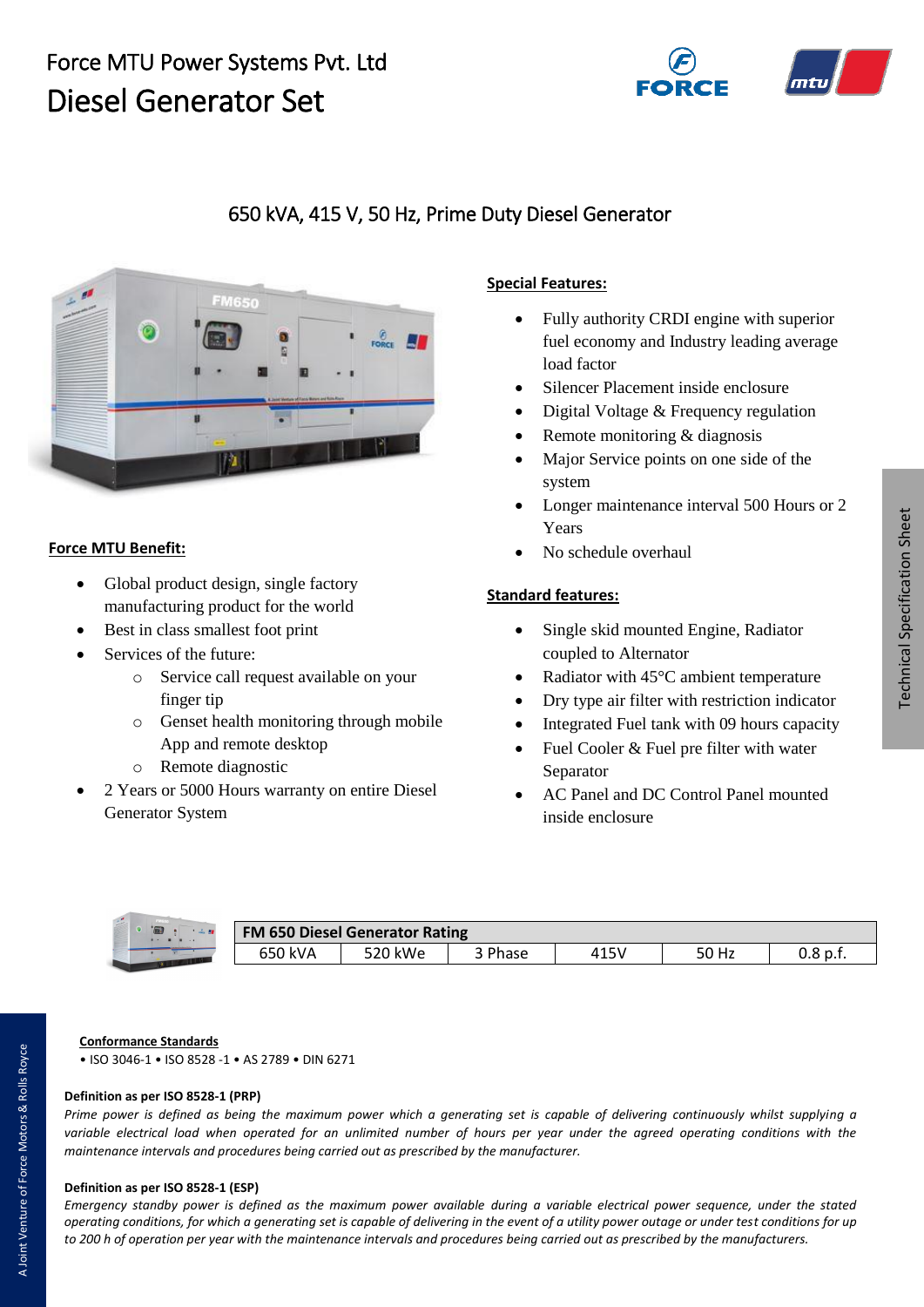# Force MTU Power Systems Pvt. Ltd Diesel Generator Set



# 650 kVA, 415 V, 50 Hz, Prime Duty Diesel Generator



#### **Force MTU Benefit:**

- Global product design, single factory manufacturing product for the world
- Best in class smallest foot print
- Services of the future:
	- o Service call request available on your finger tip
	- o Genset health monitoring through mobile App and remote desktop
	- o Remote diagnostic
- 2 Years or 5000 Hours warranty on entire Diesel Generator System

### **Special Features:**

- Fully authority CRDI engine with superior fuel economy and Industry leading average load factor
- Silencer Placement inside enclosure
- Digital Voltage & Frequency regulation
- Remote monitoring & diagnosis
- Major Service points on one side of the system
- Longer maintenance interval 500 Hours or 2 Years
- No schedule overhaul

#### **Standard features:**

- Single skid mounted Engine, Radiator coupled to Alternator
- Radiator with 45°C ambient temperature
- Dry type air filter with restriction indicator
- Integrated Fuel tank with 09 hours capacity
- Fuel Cooler & Fuel pre filter with water Separator
- AC Panel and DC Control Panel mounted inside enclosure



| <b>FM 650 Diesel Generator Rating</b> |         |         |         |      |       |            |
|---------------------------------------|---------|---------|---------|------|-------|------------|
|                                       | 650 kVA | 520 kWe | 3 Phase | 415V | 50 Hz | $0.8$ p.f. |

## **Conformance Standards**

• ISO 3046-1 • ISO 8528 -1 • AS 2789 • DIN 6271

## **Definition as per ISO 8528-1 (PRP)**

*Prime power is defined as being the maximum power which a generating set is capable of delivering continuously whilst supplying a variable electrical load when operated for an unlimited number of hours per year under the agreed operating conditions with the maintenance intervals and procedures being carried out as prescribed by the manufacturer.*

#### **Definition as per ISO 8528-1 (ESP)**

*Emergency standby power is defined as the maximum power available during a variable electrical power sequence, under the stated operating conditions, for which a generating set is capable of delivering in the event of a utility power outage or under test conditions for up to 200 h of operation per year with the maintenance intervals and procedures being carried out as prescribed by the manufacturers.*